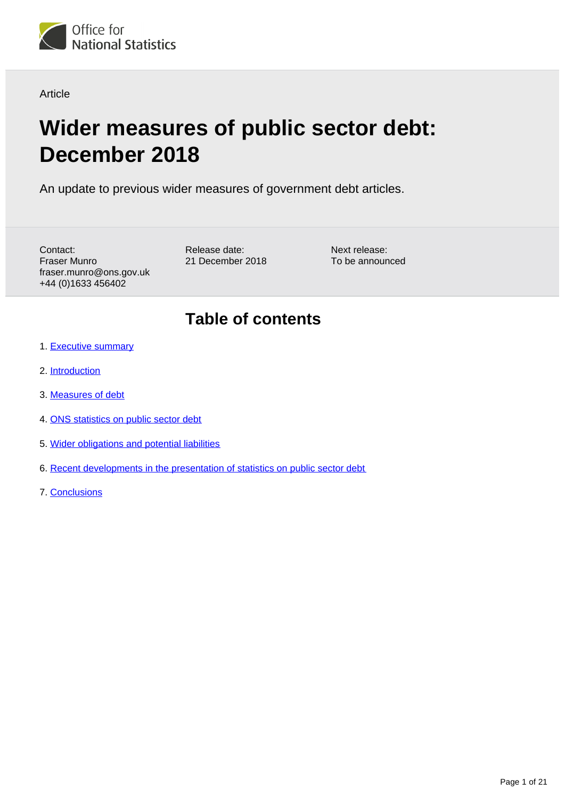<span id="page-0-0"></span>

Article

# **Wider measures of public sector debt: December 2018**

An update to previous wider measures of government debt articles.

Contact: Fraser Munro fraser.munro@ons.gov.uk +44 (0)1633 456402

Release date: 21 December 2018 Next release: To be announced

## **Table of contents**

- 1. [Executive summary](#page-1-0)
- 2. [Introduction](#page-1-1)
- 3. [Measures of debt](#page-3-0)
- 4. [ONS statistics on public sector debt](#page-7-0)
- 5. [Wider obligations and potential liabilities](#page-10-0)
- 6. [Recent developments in the presentation of statistics on public sector debt](#page-16-0)
- 7. [Conclusions](#page-20-0)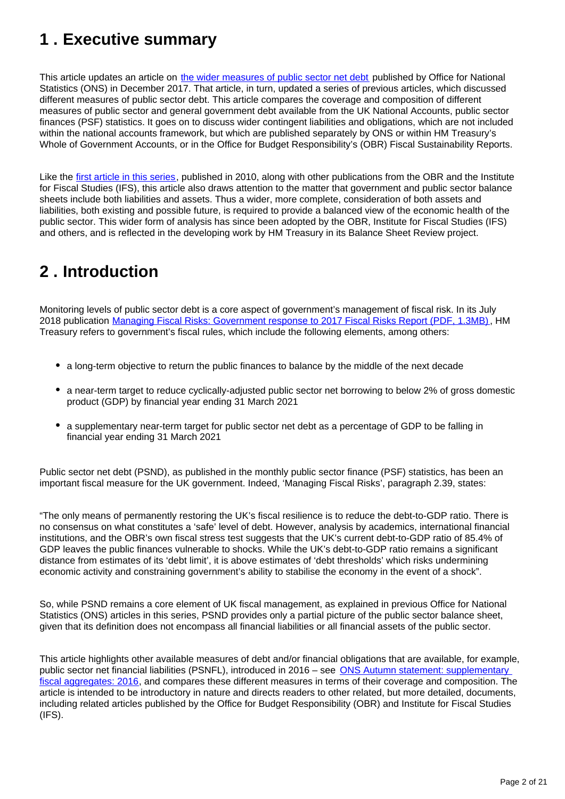## <span id="page-1-0"></span>**1 . Executive summary**

This article updates an article on [the wider measures of public sector net debt](https://www.ons.gov.uk/economy/governmentpublicsectorandtaxes/publicsectorfinance/articles/widermeasuresofpublicsectornetdebt/december2017) published by Office for National Statistics (ONS) in December 2017. That article, in turn, updated a series of previous articles, which discussed different measures of public sector debt. This article compares the coverage and composition of different measures of public sector and general government debt available from the UK National Accounts, public sector finances (PSF) statistics. It goes on to discuss wider contingent liabilities and obligations, which are not included within the national accounts framework, but which are published separately by ONS or within HM Treasury's Whole of Government Accounts, or in the Office for Budget Responsibility's (OBR) Fiscal Sustainability Reports.

Like the [first article in this series,](https://webarchive.nationalarchives.gov.uk/20160107025302/http:/www.ons.gov.uk/ons/rel/psa/wider-measures-of-public-sector-debt/july-2010/index.html) published in 2010, along with other publications from the OBR and the Institute for Fiscal Studies (IFS), this article also draws attention to the matter that government and public sector balance sheets include both liabilities and assets. Thus a wider, more complete, consideration of both assets and liabilities, both existing and possible future, is required to provide a balanced view of the economic health of the public sector. This wider form of analysis has since been adopted by the OBR, Institute for Fiscal Studies (IFS) and others, and is reflected in the developing work by HM Treasury in its Balance Sheet Review project.

## <span id="page-1-1"></span>**2 . Introduction**

Monitoring levels of public sector debt is a core aspect of government's management of fiscal risk. In its July 2018 publication [Managing Fiscal Risks: Government response to 2017 Fiscal Risks Report \(PDF, 1.3MB\)](https://assets.publishing.service.gov.uk/government/uploads/system/uploads/attachment_data/file/725913/Managing_Fiscal_Risks_web.pdf), HM Treasury refers to government's fiscal rules, which include the following elements, among others:

- a long-term objective to return the public finances to balance by the middle of the next decade
- a near-term target to reduce cyclically-adjusted public sector net borrowing to below 2% of gross domestic product (GDP) by financial year ending 31 March 2021
- a supplementary near-term target for public sector net debt as a percentage of GDP to be falling in financial year ending 31 March 2021

Public sector net debt (PSND), as published in the monthly public sector finance (PSF) statistics, has been an important fiscal measure for the UK government. Indeed, 'Managing Fiscal Risks', paragraph 2.39, states:

"The only means of permanently restoring the UK's fiscal resilience is to reduce the debt-to-GDP ratio. There is no consensus on what constitutes a 'safe' level of debt. However, analysis by academics, international financial institutions, and the OBR's own fiscal stress test suggests that the UK's current debt-to-GDP ratio of 85.4% of GDP leaves the public finances vulnerable to shocks. While the UK's debt-to-GDP ratio remains a significant distance from estimates of its 'debt limit', it is above estimates of 'debt thresholds' which risks undermining economic activity and constraining government's ability to stabilise the economy in the event of a shock".

So, while PSND remains a core element of UK fiscal management, as explained in previous Office for National Statistics (ONS) articles in this series, PSND provides only a partial picture of the public sector balance sheet, given that its definition does not encompass all financial liabilities or all financial assets of the public sector.

This article highlights other available measures of debt and/or financial obligations that are available, for example, public sector net financial liabilities (PSNFL), introduced in 2016 – see [ONS Autumn statement: supplementary](https://www.ons.gov.uk/economy/governmentpublicsectorandtaxes/publicsectorfinance/articles/autumnstatementsupplementaryfiscalaggregates/2016)  [fiscal aggregates: 2016](https://www.ons.gov.uk/economy/governmentpublicsectorandtaxes/publicsectorfinance/articles/autumnstatementsupplementaryfiscalaggregates/2016), and compares these different measures in terms of their coverage and composition. The article is intended to be introductory in nature and directs readers to other related, but more detailed, documents, including related articles published by the Office for Budget Responsibility (OBR) and Institute for Fiscal Studies (IFS).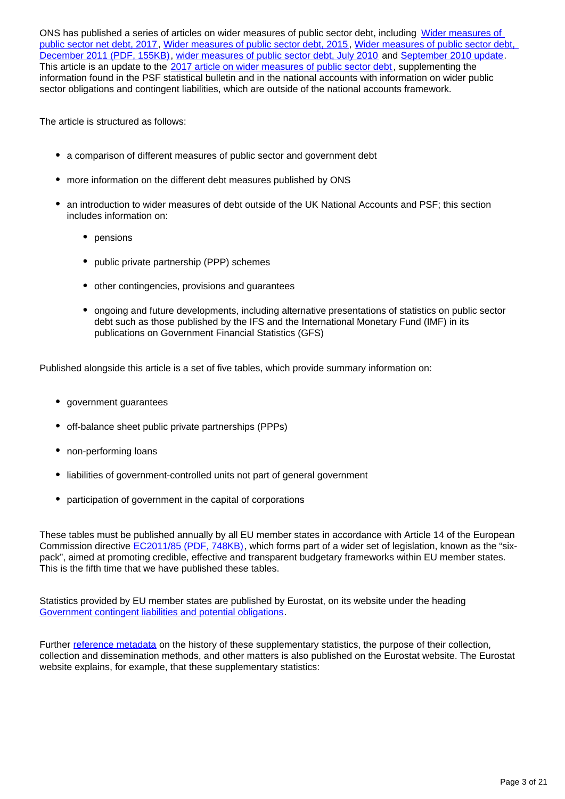ONS has published a series of articles on wider measures of public sector debt, including Wider measures of [public sector net debt, 2017,](https://www.ons.gov.uk/economy/governmentpublicsectorandtaxes/publicsectorfinance/articles/widermeasuresofpublicsectornetdebt/december2017) [Wider measures of public sector debt, 2015,](https://www.gov.uk/government/statistics/wider-measures-of-public-sector-net-debt-december-2015) [Wider measures of public sector debt,](https://webarchive.nationalarchives.gov.uk/20160112195719/http:/www.ons.gov.uk/ons/dcp171766_248137.pdf)  [December 2011 \(PDF, 155KB\),](https://webarchive.nationalarchives.gov.uk/20160112195719/http:/www.ons.gov.uk/ons/dcp171766_248137.pdf) [wider measures of public sector debt, July 2010](https://webarchive.nationalarchives.gov.uk/20151014063135/http:/www.ons.gov.uk/ons/rel/psa/wider-measures-of-public-sector-debt/july-2010/index.html) and [September 2010 update](http://webarchive.nationalarchives.gov.uk/20160107025305/http:/www.ons.gov.uk/ons/rel/psa/wider-measures-of-public-sector-debt/september-2010--update-/index.html). This article is an update to the [2017 article on wider measures of public sector debt](https://www.ons.gov.uk/economy/governmentpublicsectorandtaxes/publicsectorfinance/articles/widermeasuresofpublicsectornetdebt/december2017), supplementing the information found in the PSF statistical bulletin and in the national accounts with information on wider public sector obligations and contingent liabilities, which are outside of the national accounts framework.

The article is structured as follows:

- a comparison of different measures of public sector and government debt
- more information on the different debt measures published by ONS
- an introduction to wider measures of debt outside of the UK National Accounts and PSF; this section includes information on:
	- pensions
	- public private partnership (PPP) schemes
	- other contingencies, provisions and guarantees
	- ongoing and future developments, including alternative presentations of statistics on public sector debt such as those published by the IFS and the International Monetary Fund (IMF) in its publications on Government Financial Statistics (GFS)

Published alongside this article is a set of five tables, which provide summary information on:

- government quarantees
- off-balance sheet public private partnerships (PPPs)
- non-performing loans
- liabilities of government-controlled units not part of general government
- participation of government in the capital of corporations

These tables must be published annually by all EU member states in accordance with Article 14 of the European Commission directive [EC2011/85 \(PDF, 748KB\)](https://eur-lex.europa.eu/LexUriServ/LexUriServ.do?uri=OJ:L:2011:306:0041:0047:EN:PDF), which forms part of a wider set of legislation, known as the "sixpack", aimed at promoting credible, effective and transparent budgetary frameworks within EU member states. This is the fifth time that we have published these tables.

Statistics provided by EU member states are published by Eurostat, on its website under the heading [Government contingent liabilities and potential obligations.](https://ec.europa.eu/eurostat/web/government-finance-statistics/data/database)

Further [reference metadata](https://ec.europa.eu/eurostat/cache/metadata/en/gov_cl_esms.htm) on the history of these supplementary statistics, the purpose of their collection, collection and dissemination methods, and other matters is also published on the Eurostat website. The Eurostat website explains, for example, that these supplementary statistics: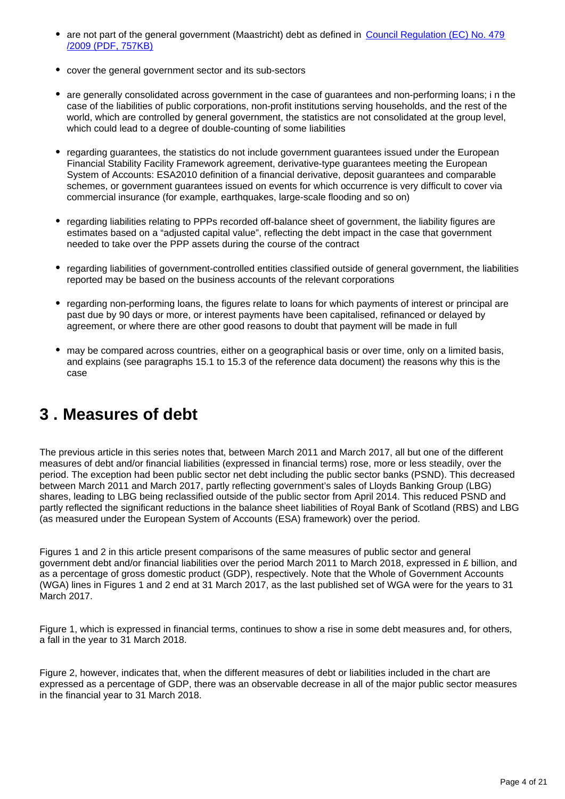- are not part of the general government (Maastricht) debt as defined in [Council Regulation \(EC\) No. 479](https://eur-lex.europa.eu/LexUriServ/LexUriServ.do?uri=OJ:L:2009:145:0001:0009:en:PDF) [/2009 \(PDF, 757KB\)](https://eur-lex.europa.eu/LexUriServ/LexUriServ.do?uri=OJ:L:2009:145:0001:0009:en:PDF)
- cover the general government sector and its sub-sectors
- are generally consolidated across government in the case of guarantees and non-performing loans; i n the case of the liabilities of public corporations, non-profit institutions serving households, and the rest of the world, which are controlled by general government, the statistics are not consolidated at the group level, which could lead to a degree of double-counting of some liabilities
- regarding guarantees, the statistics do not include government guarantees issued under the European Financial Stability Facility Framework agreement, derivative-type guarantees meeting the European System of Accounts: ESA2010 definition of a financial derivative, deposit guarantees and comparable schemes, or government guarantees issued on events for which occurrence is very difficult to cover via commercial insurance (for example, earthquakes, large-scale flooding and so on)
- regarding liabilities relating to PPPs recorded off-balance sheet of government, the liability figures are estimates based on a "adjusted capital value", reflecting the debt impact in the case that government needed to take over the PPP assets during the course of the contract
- regarding liabilities of government-controlled entities classified outside of general government, the liabilities reported may be based on the business accounts of the relevant corporations
- regarding non-performing loans, the figures relate to loans for which payments of interest or principal are past due by 90 days or more, or interest payments have been capitalised, refinanced or delayed by agreement, or where there are other good reasons to doubt that payment will be made in full
- may be compared across countries, either on a geographical basis or over time, only on a limited basis, and explains (see paragraphs 15.1 to 15.3 of the reference data document) the reasons why this is the case

## <span id="page-3-0"></span>**3 . Measures of debt**

The previous article in this series notes that, between March 2011 and March 2017, all but one of the different measures of debt and/or financial liabilities (expressed in financial terms) rose, more or less steadily, over the period. The exception had been public sector net debt including the public sector banks (PSND). This decreased between March 2011 and March 2017, partly reflecting government's sales of Lloyds Banking Group (LBG) shares, leading to LBG being reclassified outside of the public sector from April 2014. This reduced PSND and partly reflected the significant reductions in the balance sheet liabilities of Royal Bank of Scotland (RBS) and LBG (as measured under the European System of Accounts (ESA) framework) over the period.

Figures 1 and 2 in this article present comparisons of the same measures of public sector and general government debt and/or financial liabilities over the period March 2011 to March 2018, expressed in £ billion, and as a percentage of gross domestic product (GDP), respectively. Note that the Whole of Government Accounts (WGA) lines in Figures 1 and 2 end at 31 March 2017, as the last published set of WGA were for the years to 31 March 2017.

Figure 1, which is expressed in financial terms, continues to show a rise in some debt measures and, for others, a fall in the year to 31 March 2018.

Figure 2, however, indicates that, when the different measures of debt or liabilities included in the chart are expressed as a percentage of GDP, there was an observable decrease in all of the major public sector measures in the financial year to 31 March 2018.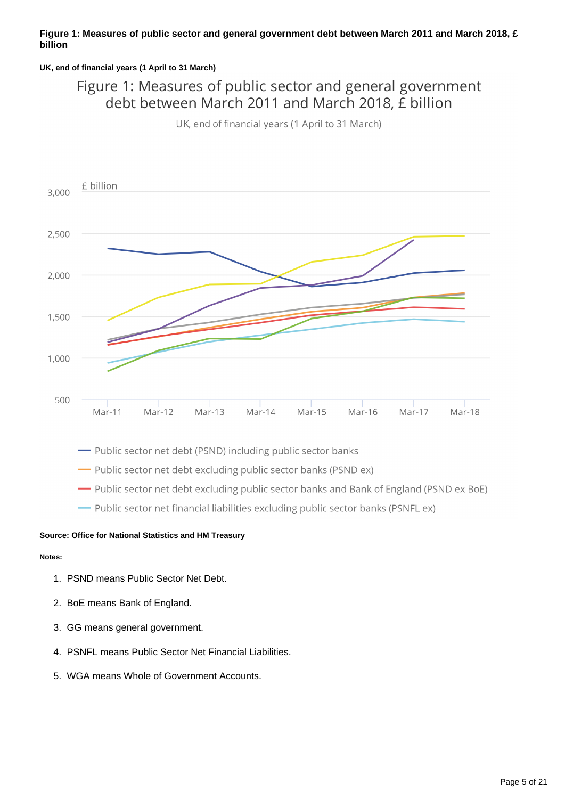#### **Figure 1: Measures of public sector and general government debt between March 2011 and March 2018, £ billion**

#### **UK, end of financial years (1 April to 31 March)**

Figure 1: Measures of public sector and general government debt between March 2011 and March 2018, E billion

UK, end of financial years (1 April to 31 March)



- Public sector net debt excluding public sector banks (PSND ex)

- Public sector net debt excluding public sector banks and Bank of England (PSND ex BoE)

- Public sector net financial liabilities excluding public sector banks (PSNFL ex)

#### **Source: Office for National Statistics and HM Treasury**

#### **Notes:**

- 1. PSND means Public Sector Net Debt.
- 2. BoE means Bank of England.
- 3. GG means general government.
- 4. PSNFL means Public Sector Net Financial Liabilities.
- 5. WGA means Whole of Government Accounts.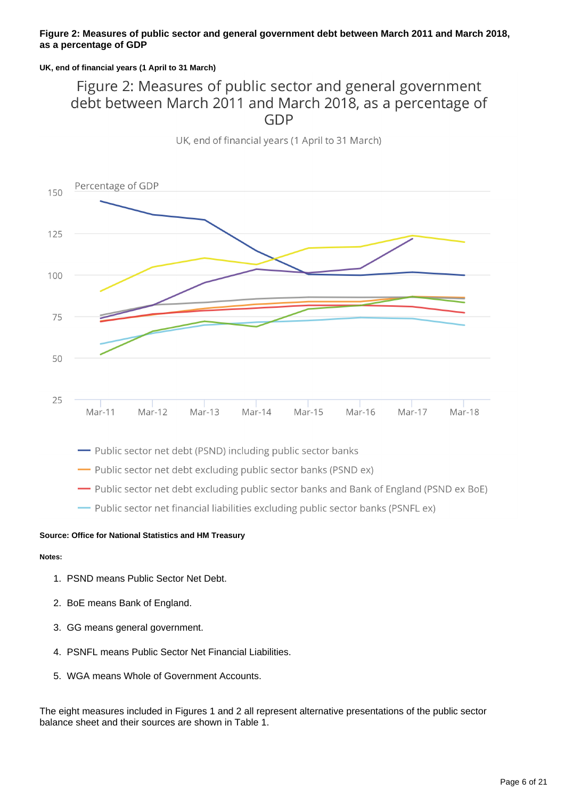#### **Figure 2: Measures of public sector and general government debt between March 2011 and March 2018, as a percentage of GDP**

#### **UK, end of financial years (1 April to 31 March)**

## Figure 2: Measures of public sector and general government debt between March 2011 and March 2018, as a percentage of **GDP**



UK, end of financial years (1 April to 31 March)

- Public sector net debt (PSND) including public sector banks

- Public sector net debt excluding public sector banks (PSND ex)

- Public sector net debt excluding public sector banks and Bank of England (PSND ex BoE)

- Public sector net financial liabilities excluding public sector banks (PSNFL ex)

#### **Source: Office for National Statistics and HM Treasury**

#### **Notes:**

- 1. PSND means Public Sector Net Debt.
- 2. BoE means Bank of England.
- 3. GG means general government.
- 4. PSNFL means Public Sector Net Financial Liabilities.
- 5. WGA means Whole of Government Accounts.

The eight measures included in Figures 1 and 2 all represent alternative presentations of the public sector balance sheet and their sources are shown in Table 1.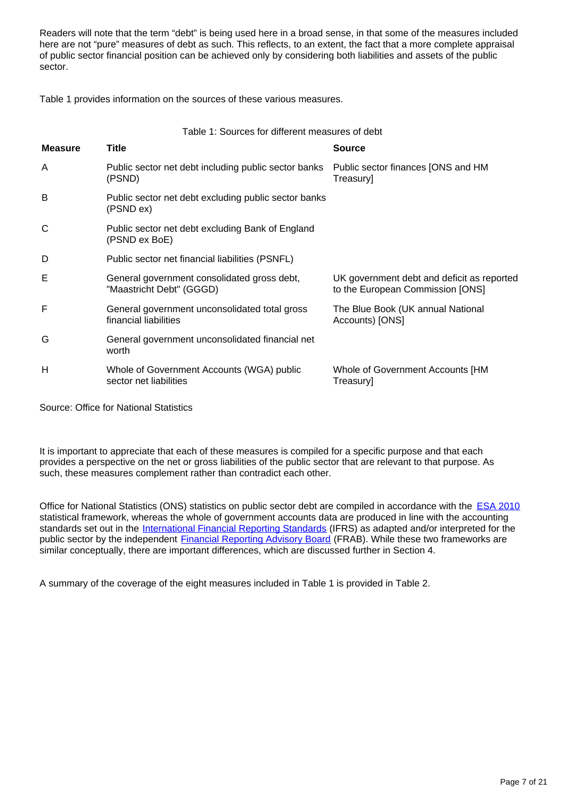Readers will note that the term "debt" is being used here in a broad sense, in that some of the measures included here are not "pure" measures of debt as such. This reflects, to an extent, the fact that a more complete appraisal of public sector financial position can be achieved only by considering both liabilities and assets of the public sector.

Table 1 provides information on the sources of these various measures.

| <b>Measure</b> | <b>Title</b>                                                            | <b>Source</b>                                                                  |
|----------------|-------------------------------------------------------------------------|--------------------------------------------------------------------------------|
| A              | Public sector net debt including public sector banks<br>(PSND)          | Public sector finances [ONS and HM<br>Treasury]                                |
| B              | Public sector net debt excluding public sector banks<br>(PSND ex)       |                                                                                |
| C              | Public sector net debt excluding Bank of England<br>(PSND ex BoE)       |                                                                                |
| D              | Public sector net financial liabilities (PSNFL)                         |                                                                                |
| Е              | General government consolidated gross debt,<br>"Maastricht Debt" (GGGD) | UK government debt and deficit as reported<br>to the European Commission [ONS] |
| F              | General government unconsolidated total gross<br>financial liabilities  | The Blue Book (UK annual National<br>Accounts) [ONS]                           |
| G              | General government unconsolidated financial net<br>worth                |                                                                                |
| н              | Whole of Government Accounts (WGA) public<br>sector net liabilities     | Whole of Government Accounts [HM<br>Treasury]                                  |

Source: Office for National Statistics

It is important to appreciate that each of these measures is compiled for a specific purpose and that each provides a perspective on the net or gross liabilities of the public sector that are relevant to that purpose. As such, these measures complement rather than contradict each other.

Office for National Statistics (ONS) statistics on public sector debt are compiled in accordance with the **[ESA 2010](https://ec.europa.eu/eurostat/web/esa-2010)** statistical framework, whereas the whole of government accounts data are produced in line with the accounting standards set out in the [International Financial Reporting Standards](https://www.ifrs.org/issued-standards/list-of-standards/) (IFRS) as adapted and/or interpreted for the public sector by the independent **Financial Reporting Advisory Board** (FRAB). While these two frameworks are similar conceptually, there are important differences, which are discussed further in Section 4.

A summary of the coverage of the eight measures included in Table 1 is provided in Table 2.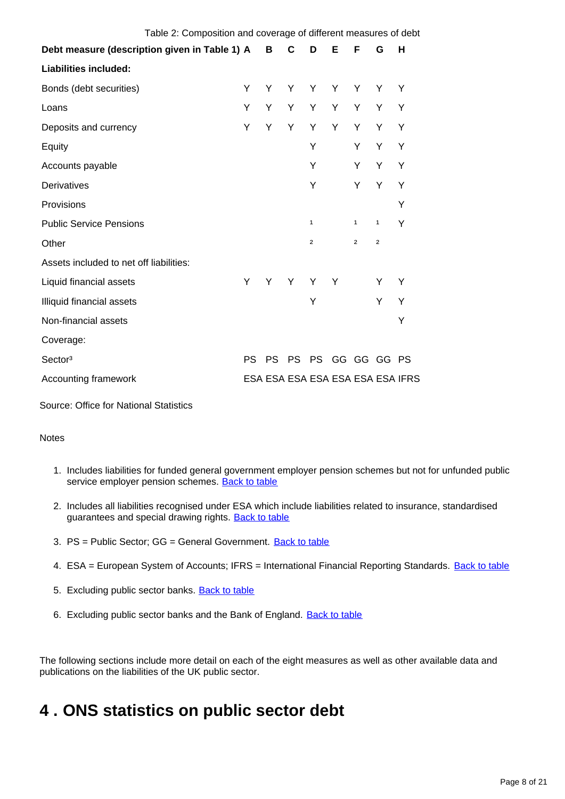| Table 2: Composition and coverage of different measures of debt |     |     |     |                |   |                |              |                                  |
|-----------------------------------------------------------------|-----|-----|-----|----------------|---|----------------|--------------|----------------------------------|
| Debt measure (description given in Table 1) A                   |     | B   | C   | D              | Е | F              | G            | н                                |
| <b>Liabilities included:</b>                                    |     |     |     |                |   |                |              |                                  |
| Bonds (debt securities)                                         | Υ   | Y   | Y   | Y              | Υ | Y              | Y            | Υ                                |
| Loans                                                           | Y   | Y   | Y   | Y              | Υ | Y              | Y            | Υ                                |
| Deposits and currency                                           | Y   | Y   | Y   | Y              | Υ | Y              | Y            | Υ                                |
| Equity                                                          |     |     |     | Y              |   | Y              | Y            | Y                                |
| Accounts payable                                                |     |     |     | Y              |   | Y              | Y            | Y                                |
| Derivatives                                                     |     |     |     | Υ              |   | Υ              | Y            | Y                                |
| Provisions                                                      |     |     |     |                |   |                |              | Y                                |
| <b>Public Service Pensions</b>                                  |     |     |     | 1              |   | 1              | $\mathbf{1}$ | Y                                |
| Other                                                           |     |     |     | $\overline{2}$ |   | 2              | $\mathbf 2$  |                                  |
| Assets included to net off liabilities:                         |     |     |     |                |   |                |              |                                  |
| Liquid financial assets                                         | Y   | Υ   | Y   | Y              | Y |                | Y            | Y                                |
| Illiquid financial assets                                       |     |     |     | Y              |   |                | Y            | Y                                |
| Non-financial assets                                            |     |     |     |                |   |                |              | Y                                |
| Coverage:                                                       |     |     |     |                |   |                |              |                                  |
| Sector <sup>3</sup>                                             | PS. | PS. | PS. |                |   | PS GG GG GG PS |              |                                  |
| <b>Accounting framework</b>                                     |     |     |     |                |   |                |              | ESA ESA ESA ESA ESA ESA ESA IFRS |

Source: Office for National Statistics

#### **Notes**

- 1. Includes liabilities for funded general government employer pension schemes but not for unfunded public service employer pension schemes. [Back to table](#page-0-0)
- 2. Includes all liabilities recognised under ESA which include liabilities related to insurance, standardised guarantees and special drawing rights. [Back to table](#page-0-0)
- 3. PS = Public Sector; GG = General Government. <u>[Back to table](#page-0-0)</u>
- 4. ESA = European System of Accounts; IFRS = International Financial Reporting Standards. [Back to table](#page-0-0)
- 5. Excluding public sector banks. **[Back to table](#page-0-0)**
- 6. Excluding public sector banks and the Bank of England. [Back to table](#page-0-0)

The following sections include more detail on each of the eight measures as well as other available data and publications on the liabilities of the UK public sector.

## <span id="page-7-0"></span>**4 . ONS statistics on public sector debt**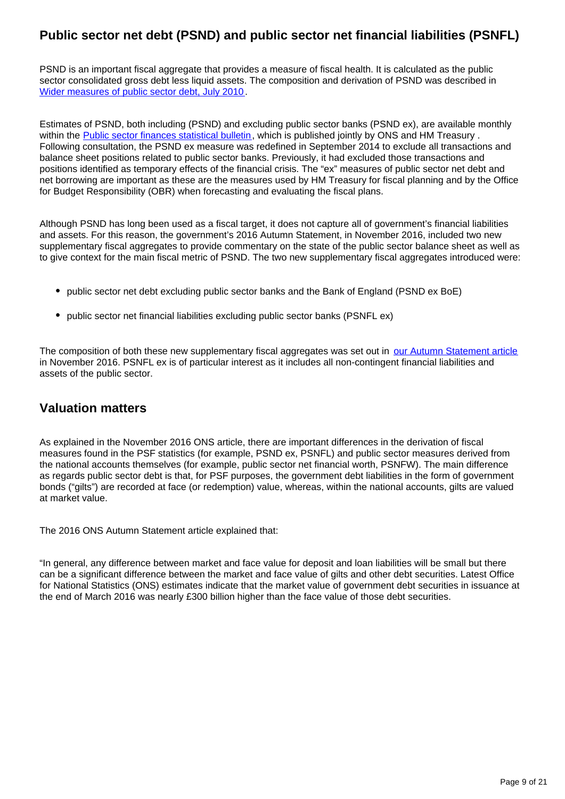## **Public sector net debt (PSND) and public sector net financial liabilities (PSNFL)**

PSND is an important fiscal aggregate that provides a measure of fiscal health. It is calculated as the public sector consolidated gross debt less liquid assets. The composition and derivation of PSND was described in [Wider measures of public sector debt, July 2010](http://webarchive.nationalarchives.gov.uk/20160107025302/http:/www.ons.gov.uk/ons/rel/psa/wider-measures-of-public-sector-debt/july-2010/index.html).

Estimates of PSND, both including (PSND) and excluding public sector banks (PSND ex), are available monthly within the [Public sector finances statistical bulletin,](https://www.ons.gov.uk/economy/governmentpublicsectorandtaxes/publicsectorfinance) which is published jointly by ONS and HM Treasury. Following consultation, the PSND ex measure was redefined in September 2014 to exclude all transactions and balance sheet positions related to public sector banks. Previously, it had excluded those transactions and positions identified as temporary effects of the financial crisis. The "ex" measures of public sector net debt and net borrowing are important as these are the measures used by HM Treasury for fiscal planning and by the Office for Budget Responsibility (OBR) when forecasting and evaluating the fiscal plans.

Although PSND has long been used as a fiscal target, it does not capture all of government's financial liabilities and assets. For this reason, the government's 2016 Autumn Statement, in November 2016, included two new supplementary fiscal aggregates to provide commentary on the state of the public sector balance sheet as well as to give context for the main fiscal metric of PSND. The two new supplementary fiscal aggregates introduced were:

- public sector net debt excluding public sector banks and the Bank of England (PSND ex BoE)
- public sector net financial liabilities excluding public sector banks (PSNFL ex)

The composition of both these new supplementary fiscal aggregates was set out in [our Autumn Statement article](https://www.ons.gov.uk/economy/governmentpublicsectorandtaxes/publicsectorfinance/articles/autumnstatementsupplementaryfiscalaggregates/2016) in November 2016. PSNFL ex is of particular interest as it includes all non-contingent financial liabilities and assets of the public sector.

## **Valuation matters**

As explained in the November 2016 ONS article, there are important differences in the derivation of fiscal measures found in the PSF statistics (for example, PSND ex, PSNFL) and public sector measures derived from the national accounts themselves (for example, public sector net financial worth, PSNFW). The main difference as regards public sector debt is that, for PSF purposes, the government debt liabilities in the form of government bonds ("gilts") are recorded at face (or redemption) value, whereas, within the national accounts, gilts are valued at market value.

The 2016 ONS Autumn Statement article explained that:

"In general, any difference between market and face value for deposit and loan liabilities will be small but there can be a significant difference between the market and face value of gilts and other debt securities. Latest Office for National Statistics (ONS) estimates indicate that the market value of government debt securities in issuance at the end of March 2016 was nearly £300 billion higher than the face value of those debt securities.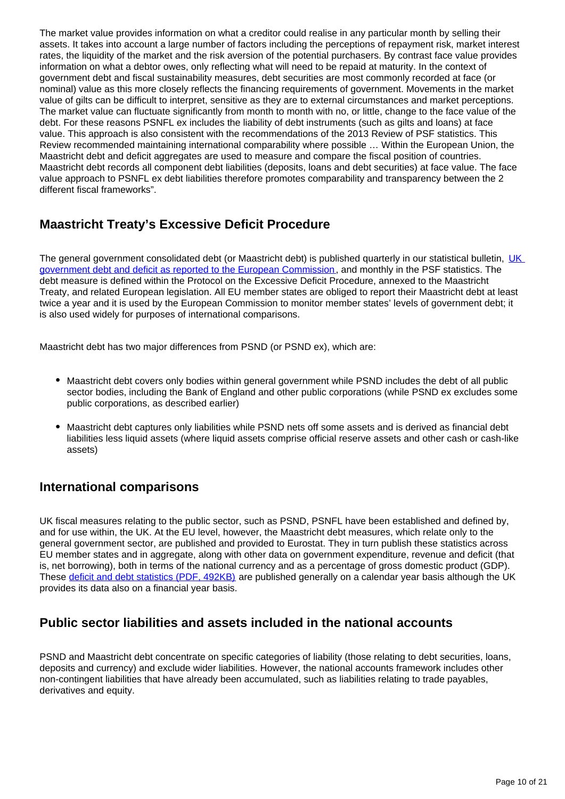The market value provides information on what a creditor could realise in any particular month by selling their assets. It takes into account a large number of factors including the perceptions of repayment risk, market interest rates, the liquidity of the market and the risk aversion of the potential purchasers. By contrast face value provides information on what a debtor owes, only reflecting what will need to be repaid at maturity. In the context of government debt and fiscal sustainability measures, debt securities are most commonly recorded at face (or nominal) value as this more closely reflects the financing requirements of government. Movements in the market value of gilts can be difficult to interpret, sensitive as they are to external circumstances and market perceptions. The market value can fluctuate significantly from month to month with no, or little, change to the face value of the debt. For these reasons PSNFL ex includes the liability of debt instruments (such as gilts and loans) at face value. This approach is also consistent with the recommendations of the 2013 Review of PSF statistics. This Review recommended maintaining international comparability where possible … Within the European Union, the Maastricht debt and deficit aggregates are used to measure and compare the fiscal position of countries. Maastricht debt records all component debt liabilities (deposits, loans and debt securities) at face value. The face value approach to PSNFL ex debt liabilities therefore promotes comparability and transparency between the 2 different fiscal frameworks".

## **Maastricht Treaty's Excessive Deficit Procedure**

The general government consolidated debt (or Maastricht debt) is published quarterly in our statistical bulletin, UK [government debt and deficit as reported to the European Commission](https://www.ons.gov.uk/economy/governmentpublicsectorandtaxes/publicspending), and monthly in the PSF statistics. The debt measure is defined within the Protocol on the Excessive Deficit Procedure, annexed to the Maastricht Treaty, and related European legislation. All EU member states are obliged to report their Maastricht debt at least twice a year and it is used by the European Commission to monitor member states' levels of government debt; it is also used widely for purposes of international comparisons.

Maastricht debt has two major differences from PSND (or PSND ex), which are:

- Maastricht debt covers only bodies within general government while PSND includes the debt of all public sector bodies, including the Bank of England and other public corporations (while PSND ex excludes some public corporations, as described earlier)
- Maastricht debt captures only liabilities while PSND nets off some assets and is derived as financial debt liabilities less liquid assets (where liquid assets comprise official reserve assets and other cash or cash-like assets)

### **International comparisons**

UK fiscal measures relating to the public sector, such as PSND, PSNFL have been established and defined by, and for use within, the UK. At the EU level, however, the Maastricht debt measures, which relate only to the general government sector, are published and provided to Eurostat. They in turn publish these statistics across EU member states and in aggregate, along with other data on government expenditure, revenue and deficit (that is, net borrowing), both in terms of the national currency and as a percentage of gross domestic product (GDP). These [deficit and debt statistics \(PDF, 492KB\)](https://ec.europa.eu/eurostat/documents/2995521/8824490/2-23042018-AP-EN.pdf/6e5b346e-e302-4132-920a-854b00ac196d) are published generally on a calendar year basis although the UK provides its data also on a financial year basis.

### **Public sector liabilities and assets included in the national accounts**

PSND and Maastricht debt concentrate on specific categories of liability (those relating to debt securities, loans, deposits and currency) and exclude wider liabilities. However, the national accounts framework includes other non-contingent liabilities that have already been accumulated, such as liabilities relating to trade payables, derivatives and equity.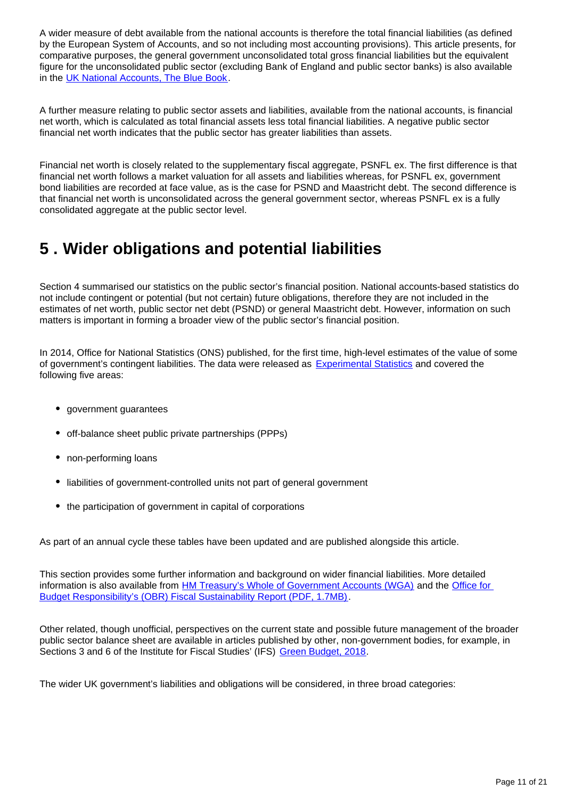A wider measure of debt available from the national accounts is therefore the total financial liabilities (as defined by the European System of Accounts, and so not including most accounting provisions). This article presents, for comparative purposes, the general government unconsolidated total gross financial liabilities but the equivalent figure for the unconsolidated public sector (excluding Bank of England and public sector banks) is also available in the [UK National Accounts, The Blue Book](https://www.ons.gov.uk/releases/unitedkingdomnationalaccountsbluebook2018).

A further measure relating to public sector assets and liabilities, available from the national accounts, is financial net worth, which is calculated as total financial assets less total financial liabilities. A negative public sector financial net worth indicates that the public sector has greater liabilities than assets.

Financial net worth is closely related to the supplementary fiscal aggregate, PSNFL ex. The first difference is that financial net worth follows a market valuation for all assets and liabilities whereas, for PSNFL ex, government bond liabilities are recorded at face value, as is the case for PSND and Maastricht debt. The second difference is that financial net worth is unconsolidated across the general government sector, whereas PSNFL ex is a fully consolidated aggregate at the public sector level.

## <span id="page-10-0"></span>**5 . Wider obligations and potential liabilities**

Section 4 summarised our statistics on the public sector's financial position. National accounts-based statistics do not include contingent or potential (but not certain) future obligations, therefore they are not included in the estimates of net worth, public sector net debt (PSND) or general Maastricht debt. However, information on such matters is important in forming a broader view of the public sector's financial position.

In 2014, Office for National Statistics (ONS) published, for the first time, high-level estimates of the value of some of government's contingent liabilities. The data were released as **[Experimental Statistics](https://www.ons.gov.uk/methodology/methodologytopicsandstatisticalconcepts/guidetoexperimentalstatistics)** and covered the following five areas:

- government guarantees
- off-balance sheet public private partnerships (PPPs)
- non-performing loans
- liabilities of government-controlled units not part of general government
- the participation of government in capital of corporations

As part of an annual cycle these tables have been updated and are published alongside this article.

This section provides some further information and background on wider financial liabilities. More detailed information is also available from [HM Treasury's Whole of Government Accounts \(WGA\)](https://www.gov.uk/government/collections/whole-of-government-accounts) and the [Office for](https://cdn.obr.uk/FSR-July-2018-1.pdf)  [Budget Responsibility's \(OBR\) Fiscal Sustainability Report \(PDF, 1.7MB\)](https://cdn.obr.uk/FSR-July-2018-1.pdf).

Other related, though unofficial, perspectives on the current state and possible future management of the broader public sector balance sheet are available in articles published by other, non-government bodies, for example, in Sections 3 and 6 of the Institute for Fiscal Studies' (IFS) [Green Budget, 2018.](https://www.ifs.org.uk/green-budget)

The wider UK government's liabilities and obligations will be considered, in three broad categories: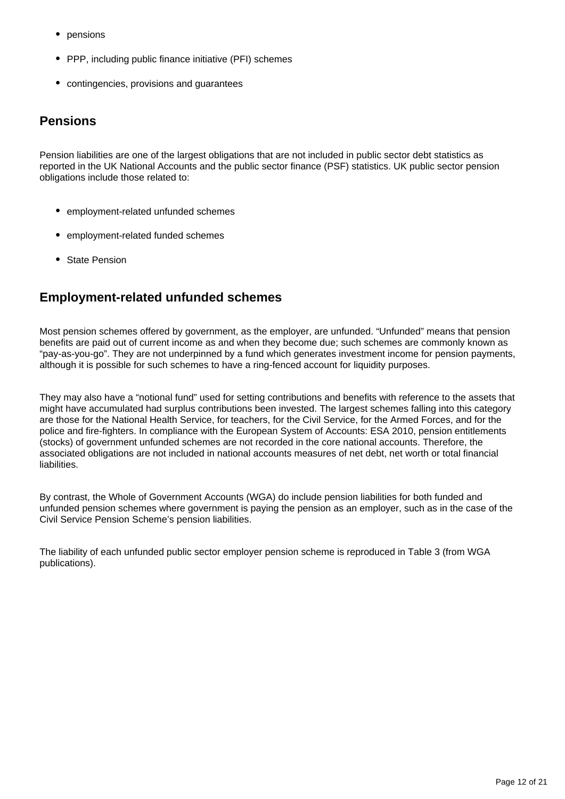- pensions
- PPP, including public finance initiative (PFI) schemes
- contingencies, provisions and guarantees

### **Pensions**

Pension liabilities are one of the largest obligations that are not included in public sector debt statistics as reported in the UK National Accounts and the public sector finance (PSF) statistics. UK public sector pension obligations include those related to:

- employment-related unfunded schemes
- employment-related funded schemes
- State Pension

## **Employment-related unfunded schemes**

Most pension schemes offered by government, as the employer, are unfunded. "Unfunded" means that pension benefits are paid out of current income as and when they become due; such schemes are commonly known as "pay-as-you-go". They are not underpinned by a fund which generates investment income for pension payments, although it is possible for such schemes to have a ring-fenced account for liquidity purposes.

They may also have a "notional fund" used for setting contributions and benefits with reference to the assets that might have accumulated had surplus contributions been invested. The largest schemes falling into this category are those for the National Health Service, for teachers, for the Civil Service, for the Armed Forces, and for the police and fire-fighters. In compliance with the European System of Accounts: ESA 2010, pension entitlements (stocks) of government unfunded schemes are not recorded in the core national accounts. Therefore, the associated obligations are not included in national accounts measures of net debt, net worth or total financial liabilities.

By contrast, the Whole of Government Accounts (WGA) do include pension liabilities for both funded and unfunded pension schemes where government is paying the pension as an employer, such as in the case of the Civil Service Pension Scheme's pension liabilities.

The liability of each unfunded public sector employer pension scheme is reproduced in Table 3 (from WGA publications).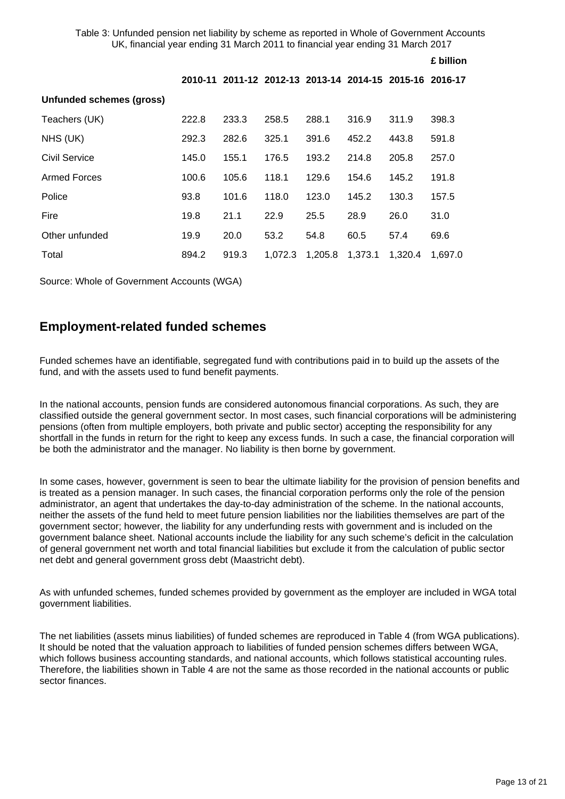Table 3: Unfunded pension net liability by scheme as reported in Whole of Government Accounts UK, financial year ending 31 March 2011 to financial year ending 31 March 2017

**£ billion**

|                          |       |                                                         |         |         |         |         | £ billion |
|--------------------------|-------|---------------------------------------------------------|---------|---------|---------|---------|-----------|
|                          |       | 2010-11 2011-12 2012-13 2013-14 2014-15 2015-16 2016-17 |         |         |         |         |           |
| Unfunded schemes (gross) |       |                                                         |         |         |         |         |           |
| Teachers (UK)            | 222.8 | 233.3                                                   | 258.5   | 288.1   | 316.9   | 311.9   | 398.3     |
| NHS (UK)                 | 292.3 | 282.6                                                   | 325.1   | 391.6   | 452.2   | 443.8   | 591.8     |
| Civil Service            | 145.0 | 155.1                                                   | 176.5   | 193.2   | 214.8   | 205.8   | 257.0     |
| <b>Armed Forces</b>      | 100.6 | 105.6                                                   | 118.1   | 129.6   | 154.6   | 145.2   | 191.8     |
| Police                   | 93.8  | 101.6                                                   | 118.0   | 123.0   | 145.2   | 130.3   | 157.5     |
| Fire                     | 19.8  | 21.1                                                    | 22.9    | 25.5    | 28.9    | 26.0    | 31.0      |
| Other unfunded           | 19.9  | 20.0                                                    | 53.2    | 54.8    | 60.5    | 57.4    | 69.6      |
| Total                    | 894.2 | 919.3                                                   | 1,072.3 | 1,205.8 | 1,373.1 | 1.320.4 | 1,697.0   |

Source: Whole of Government Accounts (WGA)

### **Employment-related funded schemes**

Funded schemes have an identifiable, segregated fund with contributions paid in to build up the assets of the fund, and with the assets used to fund benefit payments.

In the national accounts, pension funds are considered autonomous financial corporations. As such, they are classified outside the general government sector. In most cases, such financial corporations will be administering pensions (often from multiple employers, both private and public sector) accepting the responsibility for any shortfall in the funds in return for the right to keep any excess funds. In such a case, the financial corporation will be both the administrator and the manager. No liability is then borne by government.

In some cases, however, government is seen to bear the ultimate liability for the provision of pension benefits and is treated as a pension manager. In such cases, the financial corporation performs only the role of the pension administrator, an agent that undertakes the day-to-day administration of the scheme. In the national accounts, neither the assets of the fund held to meet future pension liabilities nor the liabilities themselves are part of the government sector; however, the liability for any underfunding rests with government and is included on the government balance sheet. National accounts include the liability for any such scheme's deficit in the calculation of general government net worth and total financial liabilities but exclude it from the calculation of public sector net debt and general government gross debt (Maastricht debt).

As with unfunded schemes, funded schemes provided by government as the employer are included in WGA total government liabilities.

The net liabilities (assets minus liabilities) of funded schemes are reproduced in Table 4 (from WGA publications). It should be noted that the valuation approach to liabilities of funded pension schemes differs between WGA, which follows business accounting standards, and national accounts, which follows statistical accounting rules. Therefore, the liabilities shown in Table 4 are not the same as those recorded in the national accounts or public sector finances.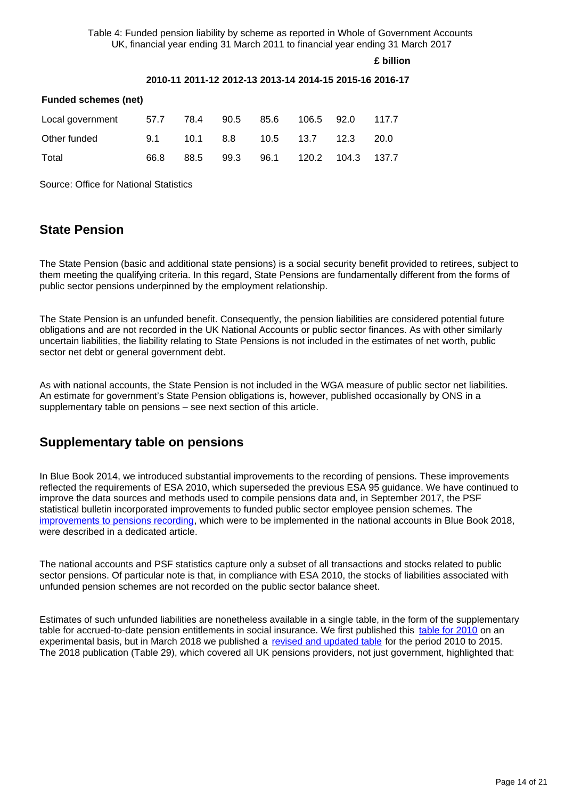Table 4: Funded pension liability by scheme as reported in Whole of Government Accounts UK, financial year ending 31 March 2011 to financial year ending 31 March 2017

**£ billion**

#### **2010-11 2011-12 2012-13 2013-14 2014-15 2015-16 2016-17**

| <b>Funded schemes (net)</b>                     |      |      |  |                             |  |  |             |  |  |
|-------------------------------------------------|------|------|--|-----------------------------|--|--|-------------|--|--|
| Local government 57.7 78.4 90.5 85.6 106.5 92.0 |      |      |  |                             |  |  | 117.7       |  |  |
| Other funded                                    | 9.1  |      |  | 10.1 8.8 10.5 13.7 12.3     |  |  | <b>20.0</b> |  |  |
| Total                                           | 66.8 | 88.5 |  | 99.3 96.1 120.2 104.3 137.7 |  |  |             |  |  |

Source: Office for National Statistics

### **State Pension**

The State Pension (basic and additional state pensions) is a social security benefit provided to retirees, subject to them meeting the qualifying criteria. In this regard, State Pensions are fundamentally different from the forms of public sector pensions underpinned by the employment relationship.

The State Pension is an unfunded benefit. Consequently, the pension liabilities are considered potential future obligations and are not recorded in the UK National Accounts or public sector finances. As with other similarly uncertain liabilities, the liability relating to State Pensions is not included in the estimates of net worth, public sector net debt or general government debt.

As with national accounts, the State Pension is not included in the WGA measure of public sector net liabilities. An estimate for government's State Pension obligations is, however, published occasionally by ONS in a supplementary table on pensions – see next section of this article.

### **Supplementary table on pensions**

In Blue Book 2014, we introduced substantial improvements to the recording of pensions. These improvements reflected the requirements of ESA 2010, which superseded the previous ESA 95 guidance. We have continued to improve the data sources and methods used to compile pensions data and, in September 2017, the PSF statistical bulletin incorporated improvements to funded public sector employee pension schemes. The [improvements to pensions recording,](https://www.ons.gov.uk/economy/governmentpublicsectorandtaxes/publicsectorfinance/articles/employmentrelatedpensionsinpublicsectorfinances/2017-09-21) which were to be implemented in the national accounts in Blue Book 2018, were described in a dedicated article.

The national accounts and PSF statistics capture only a subset of all transactions and stocks related to public sector pensions. Of particular note is that, in compliance with ESA 2010, the stocks of liabilities associated with unfunded pension schemes are not recorded on the public sector balance sheet.

Estimates of such unfunded liabilities are nonetheless available in a single table, in the form of the supplementary table for accrued-to-date pension entitlements in social insurance. We first published this [table for 2010](http://webarchive.nationalarchives.gov.uk/20160110234818/http:/www.ons.gov.uk/ons/rel/pensions/pensions-in-the-national-accounts/uk-national-accounts-supplementary-table-on-pensions--2010-/index.html) on an experimental basis, but in March 2018 we published a [revised and updated table](https://www.ons.gov.uk/economy/nationalaccounts/uksectoraccounts/articles/pensionsinthenationalaccountsafullerpictureoftheuksfundedandunfundedpensionobligations/2010to2015#defined-benefit-methodology) for the period 2010 to 2015. The 2018 publication (Table 29), which covered all UK pensions providers, not just government, highlighted that: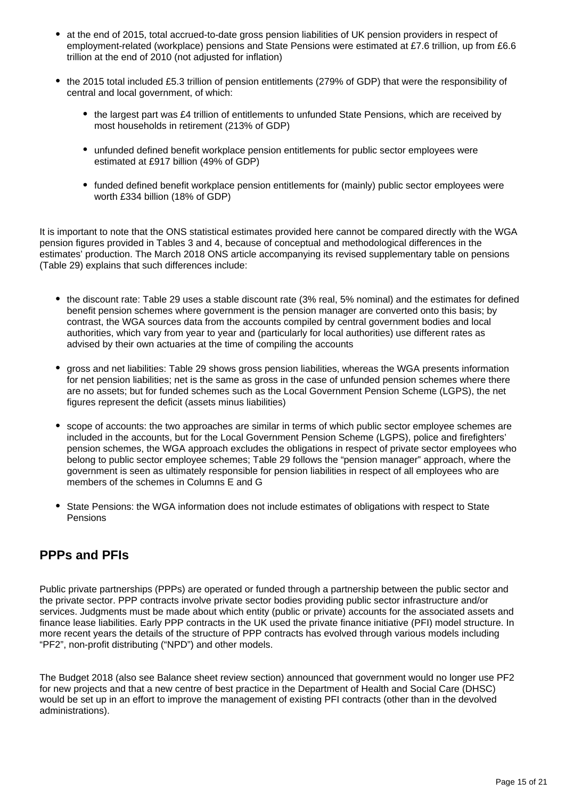- at the end of 2015, total accrued-to-date gross pension liabilities of UK pension providers in respect of employment-related (workplace) pensions and State Pensions were estimated at £7.6 trillion, up from £6.6 trillion at the end of 2010 (not adjusted for inflation)
- the 2015 total included £5.3 trillion of pension entitlements (279% of GDP) that were the responsibility of central and local government, of which:
	- the largest part was £4 trillion of entitlements to unfunded State Pensions, which are received by most households in retirement (213% of GDP)
	- unfunded defined benefit workplace pension entitlements for public sector employees were estimated at £917 billion (49% of GDP)
	- funded defined benefit workplace pension entitlements for (mainly) public sector employees were worth £334 billion (18% of GDP)

It is important to note that the ONS statistical estimates provided here cannot be compared directly with the WGA pension figures provided in Tables 3 and 4, because of conceptual and methodological differences in the estimates' production. The March 2018 ONS article accompanying its revised supplementary table on pensions (Table 29) explains that such differences include:

- the discount rate: Table 29 uses a stable discount rate (3% real, 5% nominal) and the estimates for defined benefit pension schemes where government is the pension manager are converted onto this basis; by contrast, the WGA sources data from the accounts compiled by central government bodies and local authorities, which vary from year to year and (particularly for local authorities) use different rates as advised by their own actuaries at the time of compiling the accounts
- gross and net liabilities: Table 29 shows gross pension liabilities, whereas the WGA presents information for net pension liabilities; net is the same as gross in the case of unfunded pension schemes where there are no assets; but for funded schemes such as the Local Government Pension Scheme (LGPS), the net figures represent the deficit (assets minus liabilities)
- scope of accounts: the two approaches are similar in terms of which public sector employee schemes are included in the accounts, but for the Local Government Pension Scheme (LGPS), police and firefighters' pension schemes, the WGA approach excludes the obligations in respect of private sector employees who belong to public sector employee schemes; Table 29 follows the "pension manager" approach, where the government is seen as ultimately responsible for pension liabilities in respect of all employees who are members of the schemes in Columns E and G
- State Pensions: the WGA information does not include estimates of obligations with respect to State Pensions

### **PPPs and PFIs**

Public private partnerships (PPPs) are operated or funded through a partnership between the public sector and the private sector. PPP contracts involve private sector bodies providing public sector infrastructure and/or services. Judgments must be made about which entity (public or private) accounts for the associated assets and finance lease liabilities. Early PPP contracts in the UK used the private finance initiative (PFI) model structure. In more recent years the details of the structure of PPP contracts has evolved through various models including "PF2", non-profit distributing ("NPD") and other models.

The Budget 2018 (also see Balance sheet review section) announced that government would no longer use PF2 for new projects and that a new centre of best practice in the Department of Health and Social Care (DHSC) would be set up in an effort to improve the management of existing PFI contracts (other than in the devolved administrations).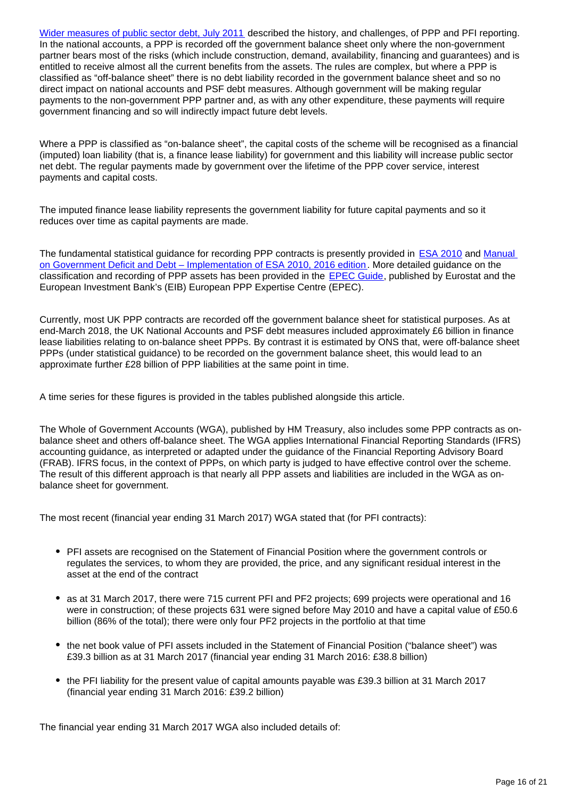[Wider measures of public sector debt, July 2011](https://webarchive.nationalarchives.gov.uk/20160112195719/http:/www.ons.gov.uk/ons/dcp171766_248137.pdf) described the history, and challenges, of PPP and PFI reporting. In the national accounts, a PPP is recorded off the government balance sheet only where the non-government partner bears most of the risks (which include construction, demand, availability, financing and guarantees) and is entitled to receive almost all the current benefits from the assets. The rules are complex, but where a PPP is classified as "off-balance sheet" there is no debt liability recorded in the government balance sheet and so no direct impact on national accounts and PSF debt measures. Although government will be making regular payments to the non-government PPP partner and, as with any other expenditure, these payments will require government financing and so will indirectly impact future debt levels.

Where a PPP is classified as "on-balance sheet", the capital costs of the scheme will be recognised as a financial (imputed) loan liability (that is, a finance lease liability) for government and this liability will increase public sector net debt. The regular payments made by government over the lifetime of the PPP cover service, interest payments and capital costs.

The imputed finance lease liability represents the government liability for future capital payments and so it reduces over time as capital payments are made.

The fundamental statistical guidance for recording PPP contracts is presently provided in **[ESA 2010](https://ec.europa.eu/eurostat/web/esa-2010)** and Manual [on Government Deficit and Debt – Implementation of ESA 2010, 2016 edition](https://ec.europa.eu/eurostat/web/products-manuals-and-guidelines/-/KS-GQ-16-001). More detailed guidance on the classification and recording of PPP assets has been provided in the **[EPEC Guide](http://www.eib.org/epec/g2g/)**, published by Eurostat and the European Investment Bank's (EIB) European PPP Expertise Centre (EPEC).

Currently, most UK PPP contracts are recorded off the government balance sheet for statistical purposes. As at end-March 2018, the UK National Accounts and PSF debt measures included approximately £6 billion in finance lease liabilities relating to on-balance sheet PPPs. By contrast it is estimated by ONS that, were off-balance sheet PPPs (under statistical guidance) to be recorded on the government balance sheet, this would lead to an approximate further £28 billion of PPP liabilities at the same point in time.

A time series for these figures is provided in the tables published alongside this article.

The Whole of Government Accounts (WGA), published by HM Treasury, also includes some PPP contracts as onbalance sheet and others off-balance sheet. The WGA applies International Financial Reporting Standards (IFRS) accounting guidance, as interpreted or adapted under the guidance of the Financial Reporting Advisory Board (FRAB). IFRS focus, in the context of PPPs, on which party is judged to have effective control over the scheme. The result of this different approach is that nearly all PPP assets and liabilities are included in the WGA as onbalance sheet for government.

The most recent (financial year ending 31 March 2017) WGA stated that (for PFI contracts):

- PFI assets are recognised on the Statement of Financial Position where the government controls or regulates the services, to whom they are provided, the price, and any significant residual interest in the asset at the end of the contract
- as at 31 March 2017, there were 715 current PFI and PF2 projects; 699 projects were operational and 16 were in construction; of these projects 631 were signed before May 2010 and have a capital value of £50.6 billion (86% of the total); there were only four PF2 projects in the portfolio at that time
- the net book value of PFI assets included in the Statement of Financial Position ("balance sheet") was £39.3 billion as at 31 March 2017 (financial year ending 31 March 2016: £38.8 billion)
- the PFI liability for the present value of capital amounts payable was £39.3 billion at 31 March 2017 (financial year ending 31 March 2016: £39.2 billion)

The financial year ending 31 March 2017 WGA also included details of: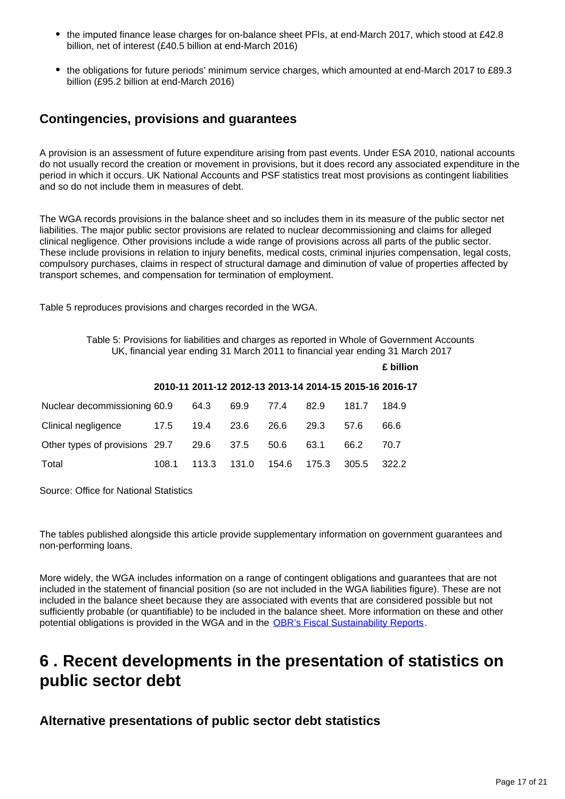- the imputed finance lease charges for on-balance sheet PFIs, at end-March 2017, which stood at £42.8 billion, net of interest (£40.5 billion at end-March 2016)
- the obligations for future periods' minimum service charges, which amounted at end-March 2017 to £89.3 billion (£95.2 billion at end-March 2016)

### **Contingencies, provisions and guarantees**

A provision is an assessment of future expenditure arising from past events. Under ESA 2010, national accounts do not usually record the creation or movement in provisions, but it does record any associated expenditure in the period in which it occurs. UK National Accounts and PSF statistics treat most provisions as contingent liabilities and so do not include them in measures of debt.

The WGA records provisions in the balance sheet and so includes them in its measure of the public sector net liabilities. The major public sector provisions are related to nuclear decommissioning and claims for alleged clinical negligence. Other provisions include a wide range of provisions across all parts of the public sector. These include provisions in relation to injury benefits, medical costs, criminal injuries compensation, legal costs, compulsory purchases, claims in respect of structural damage and diminution of value of properties affected by transport schemes, and compensation for termination of employment.

Table 5 reproduces provisions and charges recorded in the WGA.

Table 5: Provisions for liabilities and charges as reported in Whole of Government Accounts UK, financial year ending 31 March 2011 to financial year ending 31 March 2017

|                                |       |       |       |                                                         |       |       | £ billion |
|--------------------------------|-------|-------|-------|---------------------------------------------------------|-------|-------|-----------|
|                                |       |       |       | 2010-11 2011-12 2012-13 2013-14 2014-15 2015-16 2016-17 |       |       |           |
| Nuclear decommissioning 60.9   |       | 64.3  | 69.9  | 77.4                                                    | 82.9  | 181.7 | 184.9     |
| Clinical negligence            | 17.5  | 19.4  | 23.6  | 26.6                                                    | 29.3  | 57.6  | 66.6      |
| Other types of provisions 29.7 |       | 29.6  | 37.5  | 50.6                                                    | 63.1  | 66.2  | 70.7      |
| Total                          | 108.1 | 113.3 | 131.0 | 154.6                                                   | 175.3 | 305.5 | 322.2     |

Source: Office for National Statistics

The tables published alongside this article provide supplementary information on government guarantees and non-performing loans.

More widely, the WGA includes information on a range of contingent obligations and guarantees that are not included in the statement of financial position (so are not included in the WGA liabilities figure). These are not included in the balance sheet because they are associated with events that are considered possible but not sufficiently probable (or quantifiable) to be included in the balance sheet. More information on these and other potential obligations is provided in the WGA and in the [OBR's Fiscal Sustainability Reports](http://budgetresponsibility.org.uk/fsr/fiscal-sustainability-report-january-2017/).

## <span id="page-16-0"></span>**6 . Recent developments in the presentation of statistics on public sector debt**

**Alternative presentations of public sector debt statistics**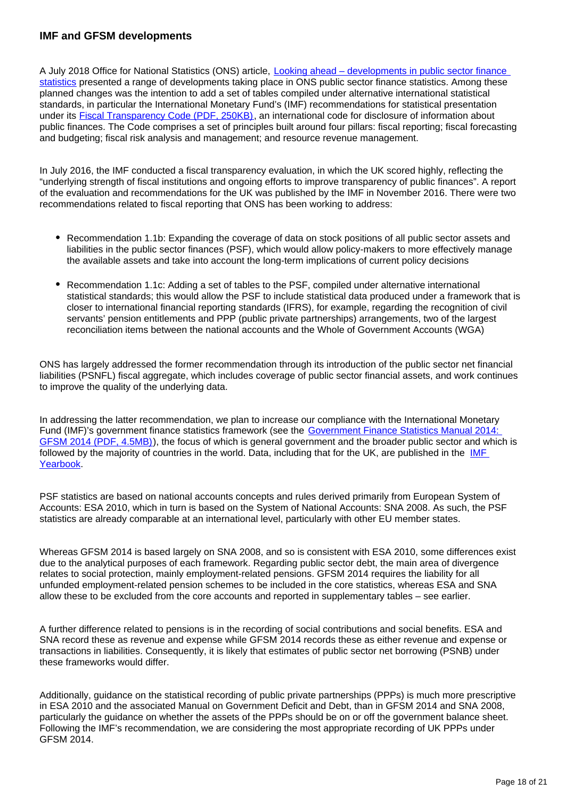#### **IMF and GFSM developments**

A July 2018 Office for National Statistics (ONS) article, [Looking ahead – developments in public sector finance](https://www.ons.gov.uk/economy/governmentpublicsectorandtaxes/publicsectorfinance/articles/lookingaheaddevelopmentsinpublicsectorfinancestatistics/2018)  [statistics](https://www.ons.gov.uk/economy/governmentpublicsectorandtaxes/publicsectorfinance/articles/lookingaheaddevelopmentsinpublicsectorfinancestatistics/2018) presented a range of developments taking place in ONS public sector finance statistics. Among these planned changes was the intention to add a set of tables compiled under alternative international statistical standards, in particular the International Monetary Fund's (IMF) recommendations for statistical presentation under its [Fiscal Transparency Code \(PDF, 250KB\),](https://blog-pfm.imf.org/files/ft-code.pdf) an international code for disclosure of information about public finances. The Code comprises a set of principles built around four pillars: fiscal reporting; fiscal forecasting and budgeting; fiscal risk analysis and management; and resource revenue management.

In July 2016, the IMF conducted a fiscal transparency evaluation, in which the UK scored highly, reflecting the "underlying strength of fiscal institutions and ongoing efforts to improve transparency of public finances". A report of the evaluation and recommendations for the UK was published by the IMF in November 2016. There were two recommendations related to fiscal reporting that ONS has been working to address:

- Recommendation 1.1b: Expanding the coverage of data on stock positions of all public sector assets and liabilities in the public sector finances (PSF), which would allow policy-makers to more effectively manage the available assets and take into account the long-term implications of current policy decisions
- Recommendation 1.1c: Adding a set of tables to the PSF, compiled under alternative international statistical standards; this would allow the PSF to include statistical data produced under a framework that is closer to international financial reporting standards (IFRS), for example, regarding the recognition of civil servants' pension entitlements and PPP (public private partnerships) arrangements, two of the largest reconciliation items between the national accounts and the Whole of Government Accounts (WGA)

ONS has largely addressed the former recommendation through its introduction of the public sector net financial liabilities (PSNFL) fiscal aggregate, which includes coverage of public sector financial assets, and work continues to improve the quality of the underlying data.

In addressing the latter recommendation, we plan to increase our compliance with the International Monetary Fund (IMF)'s government finance statistics framework (see the Government Finance Statistics Manual 2014: [GFSM 2014 \(PDF, 4.5MB\)](https://www.imf.org/external/Pubs/FT/GFS/Manual/2014/gfsfinal.pdf)), the focus of which is general government and the broader public sector and which is followed by the majority of countries in the world. Data, including that for the UK, are published in the [IMF](https://www.bookstore.imf.org/books/title/international-financial-statistics-yearbook-2018)  [Yearbook.](https://www.bookstore.imf.org/books/title/international-financial-statistics-yearbook-2018)

PSF statistics are based on national accounts concepts and rules derived primarily from European System of Accounts: ESA 2010, which in turn is based on the System of National Accounts: SNA 2008. As such, the PSF statistics are already comparable at an international level, particularly with other EU member states.

Whereas GFSM 2014 is based largely on SNA 2008, and so is consistent with ESA 2010, some differences exist due to the analytical purposes of each framework. Regarding public sector debt, the main area of divergence relates to social protection, mainly employment-related pensions. GFSM 2014 requires the liability for all unfunded employment-related pension schemes to be included in the core statistics, whereas ESA and SNA allow these to be excluded from the core accounts and reported in supplementary tables – see earlier.

A further difference related to pensions is in the recording of social contributions and social benefits. ESA and SNA record these as revenue and expense while GFSM 2014 records these as either revenue and expense or transactions in liabilities. Consequently, it is likely that estimates of public sector net borrowing (PSNB) under these frameworks would differ.

Additionally, guidance on the statistical recording of public private partnerships (PPPs) is much more prescriptive in ESA 2010 and the associated Manual on Government Deficit and Debt, than in GFSM 2014 and SNA 2008, particularly the guidance on whether the assets of the PPPs should be on or off the government balance sheet. Following the IMF's recommendation, we are considering the most appropriate recording of UK PPPs under GFSM 2014.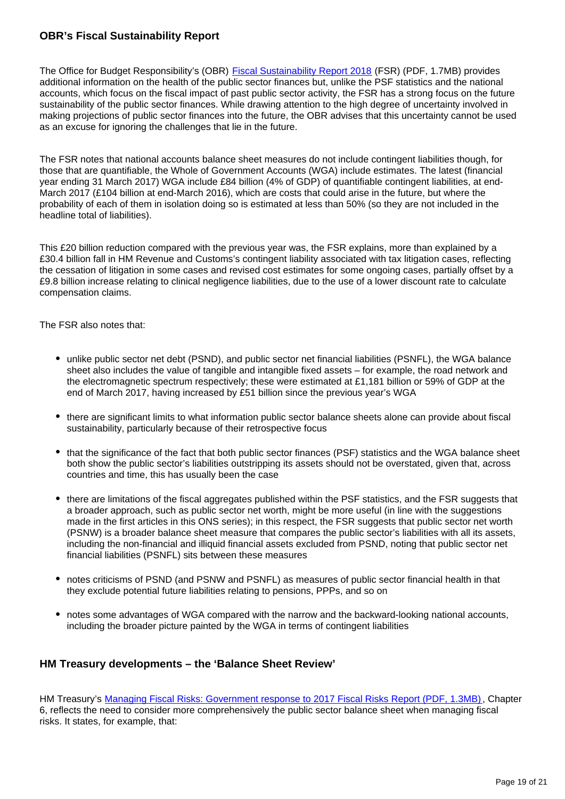#### **OBR's Fiscal Sustainability Report**

The Office for Budget Responsibility's (OBR) [Fiscal Sustainability Report 2018](https://cdn.obr.uk/FSR-July-2018-1.pdf) (FSR) (PDF, 1.7MB) provides additional information on the health of the public sector finances but, unlike the PSF statistics and the national accounts, which focus on the fiscal impact of past public sector activity, the FSR has a strong focus on the future sustainability of the public sector finances. While drawing attention to the high degree of uncertainty involved in making projections of public sector finances into the future, the OBR advises that this uncertainty cannot be used as an excuse for ignoring the challenges that lie in the future.

The FSR notes that national accounts balance sheet measures do not include contingent liabilities though, for those that are quantifiable, the Whole of Government Accounts (WGA) include estimates. The latest (financial year ending 31 March 2017) WGA include £84 billion (4% of GDP) of quantifiable contingent liabilities, at end-March 2017 (£104 billion at end-March 2016), which are costs that could arise in the future, but where the probability of each of them in isolation doing so is estimated at less than 50% (so they are not included in the headline total of liabilities).

This £20 billion reduction compared with the previous year was, the FSR explains, more than explained by a £30.4 billion fall in HM Revenue and Customs's contingent liability associated with tax litigation cases, reflecting the cessation of litigation in some cases and revised cost estimates for some ongoing cases, partially offset by a £9.8 billion increase relating to clinical negligence liabilities, due to the use of a lower discount rate to calculate compensation claims.

The FSR also notes that:

- unlike public sector net debt (PSND), and public sector net financial liabilities (PSNFL), the WGA balance sheet also includes the value of tangible and intangible fixed assets – for example, the road network and the electromagnetic spectrum respectively; these were estimated at £1,181 billion or 59% of GDP at the end of March 2017, having increased by £51 billion since the previous year's WGA
- there are significant limits to what information public sector balance sheets alone can provide about fiscal sustainability, particularly because of their retrospective focus
- that the significance of the fact that both public sector finances (PSF) statistics and the WGA balance sheet both show the public sector's liabilities outstripping its assets should not be overstated, given that, across countries and time, this has usually been the case
- there are limitations of the fiscal aggregates published within the PSF statistics, and the FSR suggests that a broader approach, such as public sector net worth, might be more useful (in line with the suggestions made in the first articles in this ONS series); in this respect, the FSR suggests that public sector net worth (PSNW) is a broader balance sheet measure that compares the public sector's liabilities with all its assets, including the non-financial and illiquid financial assets excluded from PSND, noting that public sector net financial liabilities (PSNFL) sits between these measures
- notes criticisms of PSND (and PSNW and PSNFL) as measures of public sector financial health in that they exclude potential future liabilities relating to pensions, PPPs, and so on
- notes some advantages of WGA compared with the narrow and the backward-looking national accounts, including the broader picture painted by the WGA in terms of contingent liabilities

#### **HM Treasury developments – the 'Balance Sheet Review'**

HM Treasury's [Managing Fiscal Risks: Government response to 2017 Fiscal Risks Report \(PDF, 1.3MB\),](https://assets.publishing.service.gov.uk/government/uploads/system/uploads/attachment_data/file/725913/Managing_Fiscal_Risks_web.pdf) Chapter 6, reflects the need to consider more comprehensively the public sector balance sheet when managing fiscal risks. It states, for example, that: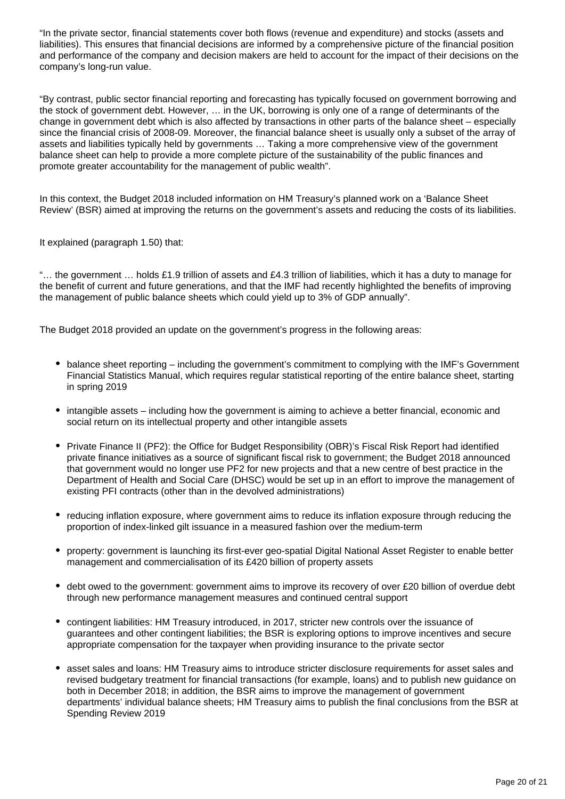"In the private sector, financial statements cover both flows (revenue and expenditure) and stocks (assets and liabilities). This ensures that financial decisions are informed by a comprehensive picture of the financial position and performance of the company and decision makers are held to account for the impact of their decisions on the company's long-run value.

"By contrast, public sector financial reporting and forecasting has typically focused on government borrowing and the stock of government debt. However, … in the UK, borrowing is only one of a range of determinants of the change in government debt which is also affected by transactions in other parts of the balance sheet – especially since the financial crisis of 2008-09. Moreover, the financial balance sheet is usually only a subset of the array of assets and liabilities typically held by governments … Taking a more comprehensive view of the government balance sheet can help to provide a more complete picture of the sustainability of the public finances and promote greater accountability for the management of public wealth".

In this context, the Budget 2018 included information on HM Treasury's planned work on a 'Balance Sheet Review' (BSR) aimed at improving the returns on the government's assets and reducing the costs of its liabilities.

It explained (paragraph 1.50) that:

"… the government … holds £1.9 trillion of assets and £4.3 trillion of liabilities, which it has a duty to manage for the benefit of current and future generations, and that the IMF had recently highlighted the benefits of improving the management of public balance sheets which could yield up to 3% of GDP annually".

The Budget 2018 provided an update on the government's progress in the following areas:

- balance sheet reporting including the government's commitment to complying with the IMF's Government Financial Statistics Manual, which requires regular statistical reporting of the entire balance sheet, starting in spring 2019
- intangible assets including how the government is aiming to achieve a better financial, economic and social return on its intellectual property and other intangible assets
- Private Finance II (PF2): the Office for Budget Responsibility (OBR)'s Fiscal Risk Report had identified private finance initiatives as a source of significant fiscal risk to government; the Budget 2018 announced that government would no longer use PF2 for new projects and that a new centre of best practice in the Department of Health and Social Care (DHSC) would be set up in an effort to improve the management of existing PFI contracts (other than in the devolved administrations)
- reducing inflation exposure, where government aims to reduce its inflation exposure through reducing the proportion of index-linked gilt issuance in a measured fashion over the medium-term
- property: government is launching its first-ever geo-spatial Digital National Asset Register to enable better management and commercialisation of its £420 billion of property assets
- debt owed to the government: government aims to improve its recovery of over £20 billion of overdue debt through new performance management measures and continued central support
- contingent liabilities: HM Treasury introduced, in 2017, stricter new controls over the issuance of guarantees and other contingent liabilities; the BSR is exploring options to improve incentives and secure appropriate compensation for the taxpayer when providing insurance to the private sector
- asset sales and loans: HM Treasury aims to introduce stricter disclosure requirements for asset sales and revised budgetary treatment for financial transactions (for example, loans) and to publish new guidance on both in December 2018; in addition, the BSR aims to improve the management of government departments' individual balance sheets; HM Treasury aims to publish the final conclusions from the BSR at Spending Review 2019